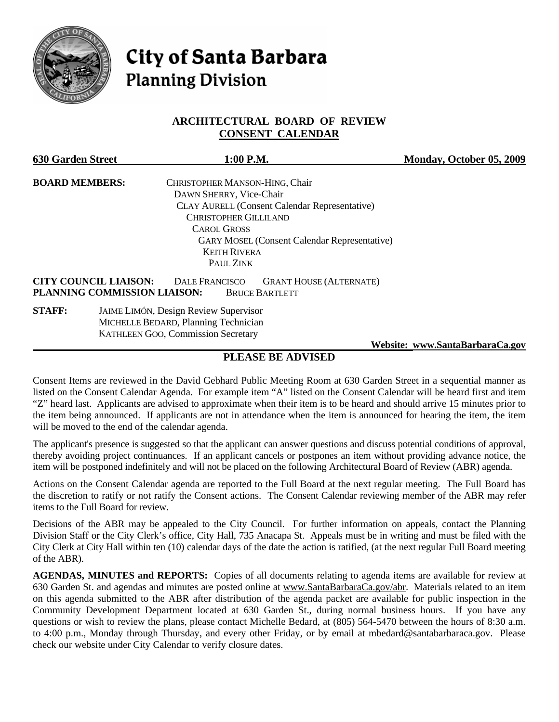

# **City of Santa Barbara Planning Division**

### **ARCHITECTURAL BOARD OF REVIEW CONSENT CALENDAR**

| <b>630 Garden Street</b>     | 1:00 P.M.                                                                                                        | Monday, October 05, 2009        |
|------------------------------|------------------------------------------------------------------------------------------------------------------|---------------------------------|
| <b>BOARD MEMBERS:</b>        | CHRISTOPHER MANSON-HING, Chair                                                                                   |                                 |
|                              | DAWN SHERRY, Vice-Chair                                                                                          |                                 |
|                              | <b>CLAY AURELL (Consent Calendar Representative)</b>                                                             |                                 |
|                              | <b>CHRISTOPHER GILLILAND</b>                                                                                     |                                 |
|                              | <b>CAROL GROSS</b>                                                                                               |                                 |
|                              | <b>GARY MOSEL (Consent Calendar Representative)</b>                                                              |                                 |
|                              | <b>KEITH RIVERA</b>                                                                                              |                                 |
|                              | PAUL ZINK                                                                                                        |                                 |
| <b>CITY COUNCIL LIAISON:</b> | <b>DALE FRANCISCO</b><br><b>GRANT HOUSE (ALTERNATE)</b><br>PLANNING COMMISSION LIAISON:<br><b>BRUCE BARTLETT</b> |                                 |
| <b>STAFF:</b>                | <b>JAIME LIMÓN, Design Review Supervisor</b>                                                                     |                                 |
|                              | MICHELLE BEDARD, Planning Technician                                                                             |                                 |
|                              | <b>KATHLEEN GOO, Commission Secretary</b>                                                                        |                                 |
|                              |                                                                                                                  | Website: www.SantaBarbaraCa.gov |

## **PLEASE BE ADVISED**

Consent Items are reviewed in the David Gebhard Public Meeting Room at 630 Garden Street in a sequential manner as listed on the Consent Calendar Agenda. For example item "A" listed on the Consent Calendar will be heard first and item "Z" heard last. Applicants are advised to approximate when their item is to be heard and should arrive 15 minutes prior to the item being announced. If applicants are not in attendance when the item is announced for hearing the item, the item will be moved to the end of the calendar agenda.

The applicant's presence is suggested so that the applicant can answer questions and discuss potential conditions of approval, thereby avoiding project continuances. If an applicant cancels or postpones an item without providing advance notice, the item will be postponed indefinitely and will not be placed on the following Architectural Board of Review (ABR) agenda.

Actions on the Consent Calendar agenda are reported to the Full Board at the next regular meeting. The Full Board has the discretion to ratify or not ratify the Consent actions. The Consent Calendar reviewing member of the ABR may refer items to the Full Board for review.

Decisions of the ABR may be appealed to the City Council. For further information on appeals, contact the Planning Division Staff or the City Clerk's office, City Hall, 735 Anacapa St. Appeals must be in writing and must be filed with the City Clerk at City Hall within ten (10) calendar days of the date the action is ratified, (at the next regular Full Board meeting of the ABR).

**AGENDAS, MINUTES and REPORTS:** Copies of all documents relating to agenda items are available for review at 630 Garden St. and agendas and minutes are posted online at [www.SantaBarbaraCa.gov/abr.](http://www.santabarbaraca.gov/abr) Materials related to an item on this agenda submitted to the ABR after distribution of the agenda packet are available for public inspection in the Community Development Department located at 630 Garden St., during normal business hours. If you have any questions or wish to review the plans, please contact Michelle Bedard, at (805) 564-5470 between the hours of 8:30 a.m. to 4:00 p.m., Monday through Thursday, and every other Friday, or by email at [mbedard@santabarbaraca.gov](mailto:mbedard@santabarbaraca.gov). Please check our website under City Calendar to verify closure dates.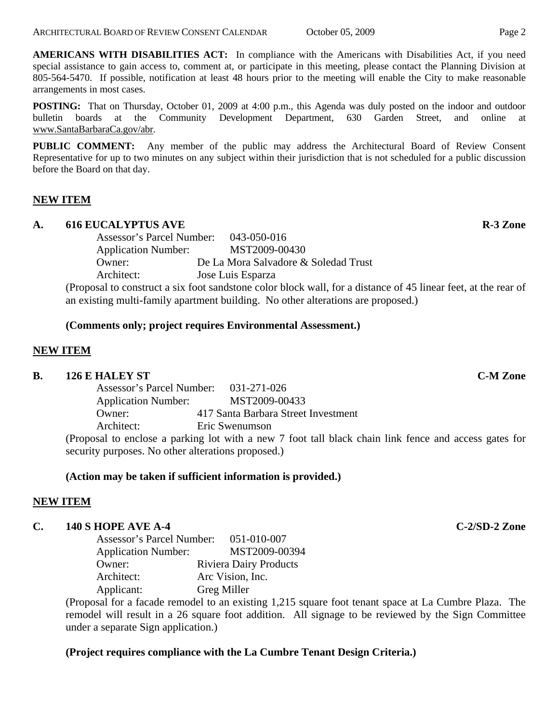**AMERICANS WITH DISABILITIES ACT:** In compliance with the Americans with Disabilities Act, if you need special assistance to gain access to, comment at, or participate in this meeting, please contact the Planning Division at 805-564-5470. If possible, notification at least 48 hours prior to the meeting will enable the City to make reasonable arrangements in most cases.

**POSTING:** That on Thursday, October 01, 2009 at 4:00 p.m., this Agenda was duly posted on the indoor and outdoor bulletin boards at the Community Development Department, 630 Garden Street, and online at [www.SantaBarbaraCa.gov/abr.](http://www.santabarbaraca.gov/abr)

**PUBLIC COMMENT:** Any member of the public may address the Architectural Board of Review Consent Representative for up to two minutes on any subject within their jurisdiction that is not scheduled for a public discussion before the Board on that day.

## **NEW ITEM**

### A. 616 EUCALYPTUS AVE **R-3** Zone

Assessor's Parcel Number: 043-050-016 Application Number: MST2009-00430 Owner: De La Mora Salvadore & Soledad Trust Architect: Jose Luis Esparza

(Proposal to construct a six foot sandstone color block wall, for a distance of 45 linear feet, at the rear of an existing multi-family apartment building. No other alterations are proposed.)

#### **(Comments only; project requires Environmental Assessment.)**

#### **NEW ITEM**

#### **B.** 126 E HALEY ST C-M Zone

Assessor's Parcel Number: 031-271-026 Application Number: MST2009-00433 Owner: 417 Santa Barbara Street Investment Architect: Eric Swenumson

(Proposal to enclose a parking lot with a new 7 foot tall black chain link fence and access gates for security purposes. No other alterations proposed.)

#### **(Action may be taken if sufficient information is provided.)**

#### **NEW ITEM**

#### **C. 140 S HOPE AVE A-4 C-2/SD-2 Zone**

Assessor's Parcel Number: 051-010-007 Application Number: MST2009-00394 Owner: Riviera Dairy Products Architect: Arc Vision, Inc. Applicant: Greg Miller

(Proposal for a facade remodel to an existing 1,215 square foot tenant space at La Cumbre Plaza. The remodel will result in a 26 square foot addition. All signage to be reviewed by the Sign Committee under a separate Sign application.)

#### **(Project requires compliance with the La Cumbre Tenant Design Criteria.)**